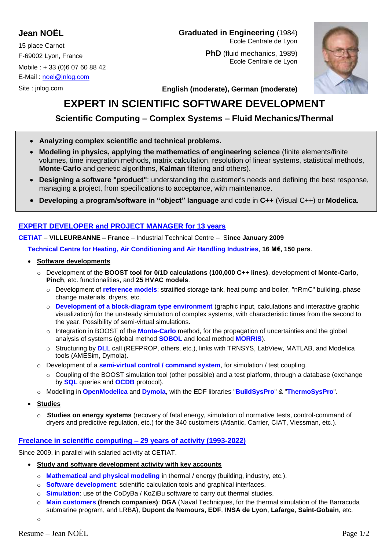# **Jean NOËL**

15 place Carnot F-69002 Lyon, France Mobile : + 33 (0)6 07 60 88 42 E-Mail : [noel@jnlog.com](mailto:noel@jnlog.com)

Site : jnlog.com

### **Graduated in Engineering** (1984) Ecole Centrale de Lyon

**PhD** (fluid mechanics, 1989) Ecole Centrale de Lyon



**English (moderate), German (moderate)**

# **EXPERT IN SCIENTIFIC SOFTWARE DEVELOPMENT**

# **Scientific Computing – Complex Systems – Fluid Mechanics/Thermal**

- **Analyzing complex scientific and technical problems.**
- **Modeling in physics, applying the mathematics of engineering science** (finite elements/finite volumes, time integration methods, matrix calculation, resolution of linear systems, statistical methods, **Monte-Carlo** and genetic algorithms, **Kalman** filtering and others).
- **Designing a software "product"**: understanding the customer's needs and defining the best response, managing a project, from specifications to acceptance, with maintenance.
- **Developing a program/software in "object" language** and code in **C++** (Visual C++) or **Modelica.**

## **EXPERT DEVELOPER and PROJECT MANAGER for 13 years**

**CETIAT** – **VILLEURBANNE – France** – Industrial Technical Centre – S**ince January 2009**

**Technical Centre for Heating, Air Conditioning and Air Handling Industries**, **16 M€, 150 pers**.

#### **Software developments**

- o Development of the **BOOST tool for 0/1D calculations (100,000 C++ lines)**, development of **Monte-Carlo**, **Pinch**, etc. functionalities, and **25 HVAC models**.
	- o Development of **reference models**: stratified storage tank, heat pump and boiler, "nRmC" building, phase change materials, dryers, etc.
	- o **Development of a block-diagram type environment** (graphic input, calculations and interactive graphic visualization) for the unsteady simulation of complex systems, with characteristic times from the second to the year. Possibility of semi-virtual simulations.
	- o Integration in BOOST of the **Monte-Carlo** method, for the propagation of uncertainties and the global analysis of systems (global method **SOBOL** and local method **MORRIS**).
	- o Structuring by **DLL** call (REFPROP, others, etc.), links with TRNSYS, LabView, MATLAB, and Modelica tools (AMESim, Dymola).
- o Development of a **semi-virtual control / command system**, for simulation / test coupling.
	- o Coupling of the BOOST simulation tool (other possible) and a test platform, through a database (exchange by **SQL** queries and **OCDB** protocol).
- o Modelling in **OpenModelica** and **Dymola**, with the EDF libraries "**BuildSysPro**" & "**ThermoSysPro**".
- **Studies**
	- o **Studies on energy systems** (recovery of fatal energy, simulation of normative tests, control-command of dryers and predictive regulation, etc.) for the 340 customers (Atlantic, Carrier, CIAT, Viessman, etc.).

## **Freelance in scientific computing – 29 years of activity (1993-2022)**

Since 2009, in parallel with salaried activity at CETIAT.

- **Study and software development activity with key accounts**
	- o **Mathematical and physical modeling** in thermal / energy (building, industry, etc.).
	- o **Software development**: scientific calculation tools and graphical interfaces.
	- o **Simulation**: use of the CoDyBa / KoZiBu software to carry out thermal studies.
	- o **Main customers (french companies)**: **DGA** (Naval Techniques, for the thermal simulation of the Barracuda submarine program, and LRBA), **Dupont de Nemours**, **EDF**, **INSA de Lyon**, **Lafarge**, **Saint-Gobain**, etc.

o